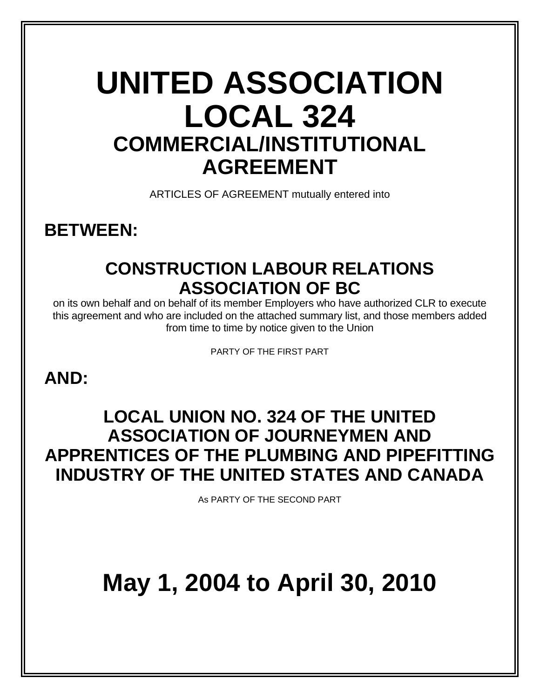# **UNITED ASSOCIATION LOCAL 324 COMMERCIAL/INSTITUTIONAL AGREEMENT**

ARTICLES OF AGREEMENT mutually entered into

# **BETWEEN:**

# **CONSTRUCTION LABOUR RELATIONS ASSOCIATION OF BC**

on its own behalf and on behalf of its member Employers who have authorized CLR to execute this agreement and who are included on the attached summary list, and those members added from time to time by notice given to the Union

PARTY OF THE FIRST PART

# **AND:**

# **LOCAL UNION NO. 324 OF THE UNITED ASSOCIATION OF JOURNEYMEN AND APPRENTICES OF THE PLUMBING AND PIPEFITTING INDUSTRY OF THE UNITED STATES AND CANADA**

As PARTY OF THE SECOND PART

# **May 1, 2004 to April 30, 2010**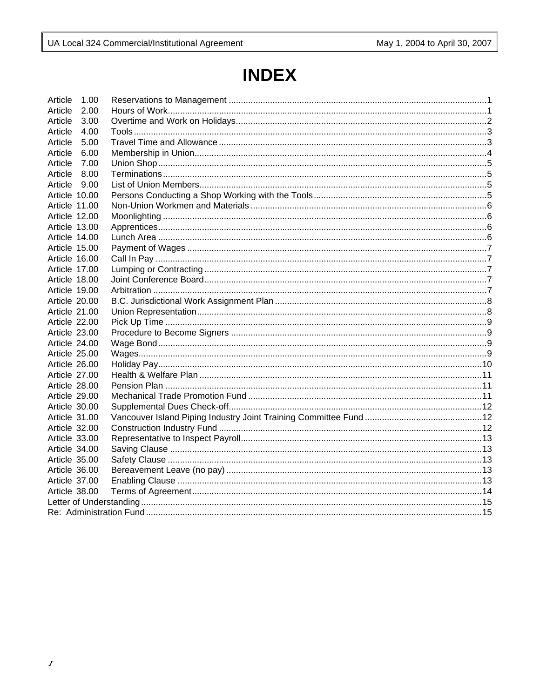# **INDEX**

| Article       | 1.00 |  |  |  |
|---------------|------|--|--|--|
| Article       | 2.00 |  |  |  |
| Article       | 3.00 |  |  |  |
| Article       | 4.00 |  |  |  |
| Article       | 5.00 |  |  |  |
| Article       | 6.00 |  |  |  |
| Article       | 7.00 |  |  |  |
| Article       | 8.00 |  |  |  |
| Article       | 9.00 |  |  |  |
| Article 10.00 |      |  |  |  |
| Article 11.00 |      |  |  |  |
| Article 12.00 |      |  |  |  |
| Article 13.00 |      |  |  |  |
| Article 14.00 |      |  |  |  |
| Article 15.00 |      |  |  |  |
| Article 16.00 |      |  |  |  |
| Article 17.00 |      |  |  |  |
| Article 18.00 |      |  |  |  |
| Article 19.00 |      |  |  |  |
| Article 20.00 |      |  |  |  |
| Article 21.00 |      |  |  |  |
| Article 22.00 |      |  |  |  |
| Article 23.00 |      |  |  |  |
| Article 24.00 |      |  |  |  |
| Article 25.00 |      |  |  |  |
| Article 26.00 |      |  |  |  |
| Article 27.00 |      |  |  |  |
| Article 28.00 |      |  |  |  |
| Article 29.00 |      |  |  |  |
| Article 30.00 |      |  |  |  |
| Article 31.00 |      |  |  |  |
| Article 32.00 |      |  |  |  |
| Article 33.00 |      |  |  |  |
| Article 34.00 |      |  |  |  |
| Article 35.00 |      |  |  |  |
| Article 36.00 |      |  |  |  |
| Article 37.00 |      |  |  |  |
| Article 38.00 |      |  |  |  |
|               |      |  |  |  |
|               |      |  |  |  |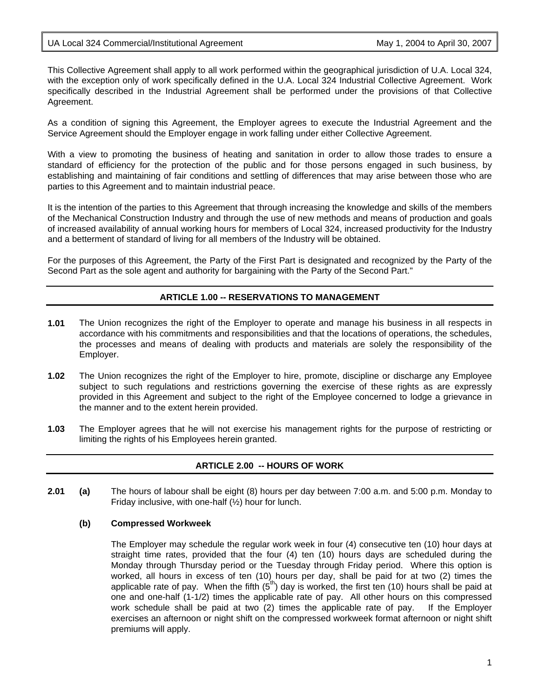#### UA Local 324 Commercial/Institutional Agreement May 1, 2004 to April 30, 2007

This Collective Agreement shall apply to all work performed within the geographical jurisdiction of U.A. Local 324, with the exception only of work specifically defined in the U.A. Local 324 Industrial Collective Agreement. Work specifically described in the Industrial Agreement shall be performed under the provisions of that Collective Agreement.

As a condition of signing this Agreement, the Employer agrees to execute the Industrial Agreement and the Service Agreement should the Employer engage in work falling under either Collective Agreement.

With a view to promoting the business of heating and sanitation in order to allow those trades to ensure a standard of efficiency for the protection of the public and for those persons engaged in such business, by establishing and maintaining of fair conditions and settling of differences that may arise between those who are parties to this Agreement and to maintain industrial peace.

It is the intention of the parties to this Agreement that through increasing the knowledge and skills of the members of the Mechanical Construction Industry and through the use of new methods and means of production and goals of increased availability of annual working hours for members of Local 324, increased productivity for the Industry and a betterment of standard of living for all members of the Industry will be obtained.

For the purposes of this Agreement, the Party of the First Part is designated and recognized by the Party of the Second Part as the sole agent and authority for bargaining with the Party of the Second Part."

# **ARTICLE 1.00 -- RESERVATIONS TO MANAGEMENT**

- **1.01** The Union recognizes the right of the Employer to operate and manage his business in all respects in accordance with his commitments and responsibilities and that the locations of operations, the schedules, the processes and means of dealing with products and materials are solely the responsibility of the Employer.
- **1.02** The Union recognizes the right of the Employer to hire, promote, discipline or discharge any Employee subject to such regulations and restrictions governing the exercise of these rights as are expressly provided in this Agreement and subject to the right of the Employee concerned to lodge a grievance in the manner and to the extent herein provided.
- **1.03** The Employer agrees that he will not exercise his management rights for the purpose of restricting or limiting the rights of his Employees herein granted.

# **ARTICLE 2.00 -- HOURS OF WORK**

**2.01 (a)** The hours of labour shall be eight (8) hours per day between 7:00 a.m. and 5:00 p.m. Monday to Friday inclusive, with one-half (½) hour for lunch.

#### **(b) Compressed Workweek**

The Employer may schedule the regular work week in four (4) consecutive ten (10) hour days at straight time rates, provided that the four (4) ten (10) hours days are scheduled during the Monday through Thursday period or the Tuesday through Friday period. Where this option is worked, all hours in excess of ten (10) hours per day, shall be paid for at two (2) times the applicable rate of pay. When the fifth  $(5<sup>th</sup>)$  day is worked, the first ten (10) hours shall be paid at one and one-half (1-1/2) times the applicable rate of pay. All other hours on this compressed work schedule shall be paid at two (2) times the applicable rate of pay. If the Employer exercises an afternoon or night shift on the compressed workweek format afternoon or night shift premiums will apply.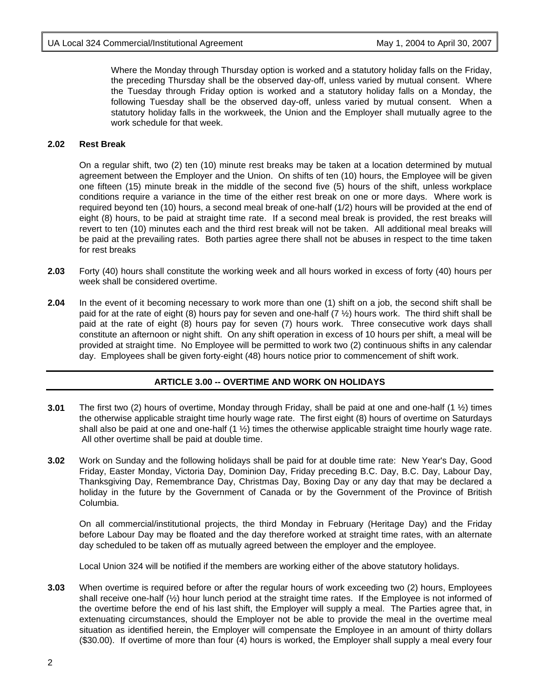Where the Monday through Thursday option is worked and a statutory holiday falls on the Friday, the preceding Thursday shall be the observed day-off, unless varied by mutual consent. Where the Tuesday through Friday option is worked and a statutory holiday falls on a Monday, the following Tuesday shall be the observed day-off, unless varied by mutual consent. When a statutory holiday falls in the workweek, the Union and the Employer shall mutually agree to the work schedule for that week.

#### **2.02 Rest Break**

On a regular shift, two (2) ten (10) minute rest breaks may be taken at a location determined by mutual agreement between the Employer and the Union. On shifts of ten (10) hours, the Employee will be given one fifteen (15) minute break in the middle of the second five (5) hours of the shift, unless workplace conditions require a variance in the time of the either rest break on one or more days. Where work is required beyond ten (10) hours, a second meal break of one-half (1/2) hours will be provided at the end of eight (8) hours, to be paid at straight time rate. If a second meal break is provided, the rest breaks will revert to ten (10) minutes each and the third rest break will not be taken. All additional meal breaks will be paid at the prevailing rates. Both parties agree there shall not be abuses in respect to the time taken for rest breaks

- **2.03** Forty (40) hours shall constitute the working week and all hours worked in excess of forty (40) hours per week shall be considered overtime.
- **2.04** In the event of it becoming necessary to work more than one (1) shift on a job, the second shift shall be paid for at the rate of eight (8) hours pay for seven and one-half (7 ½) hours work. The third shift shall be paid at the rate of eight (8) hours pay for seven (7) hours work. Three consecutive work days shall constitute an afternoon or night shift. On any shift operation in excess of 10 hours per shift, a meal will be provided at straight time. No Employee will be permitted to work two (2) continuous shifts in any calendar day. Employees shall be given forty-eight (48) hours notice prior to commencement of shift work.

# **ARTICLE 3.00 -- OVERTIME AND WORK ON HOLIDAYS**

- **3.01** The first two (2) hours of overtime, Monday through Friday, shall be paid at one and one-half (1 ½) times the otherwise applicable straight time hourly wage rate. The first eight (8) hours of overtime on Saturdays shall also be paid at one and one-half  $(1 \frac{1}{2})$  times the otherwise applicable straight time hourly wage rate. All other overtime shall be paid at double time.
- **3.02** Work on Sunday and the following holidays shall be paid for at double time rate: New Year's Day, Good Friday, Easter Monday, Victoria Day, Dominion Day, Friday preceding B.C. Day, B.C. Day, Labour Day, Thanksgiving Day, Remembrance Day, Christmas Day, Boxing Day or any day that may be declared a holiday in the future by the Government of Canada or by the Government of the Province of British Columbia.

On all commercial/institutional projects, the third Monday in February (Heritage Day) and the Friday before Labour Day may be floated and the day therefore worked at straight time rates, with an alternate day scheduled to be taken off as mutually agreed between the employer and the employee.

Local Union 324 will be notified if the members are working either of the above statutory holidays.

**3.03** When overtime is required before or after the regular hours of work exceeding two (2) hours, Employees shall receive one-half (½) hour lunch period at the straight time rates. If the Employee is not informed of the overtime before the end of his last shift, the Employer will supply a meal. The Parties agree that, in extenuating circumstances, should the Employer not be able to provide the meal in the overtime meal situation as identified herein, the Employer will compensate the Employee in an amount of thirty dollars (\$30.00). If overtime of more than four (4) hours is worked, the Employer shall supply a meal every four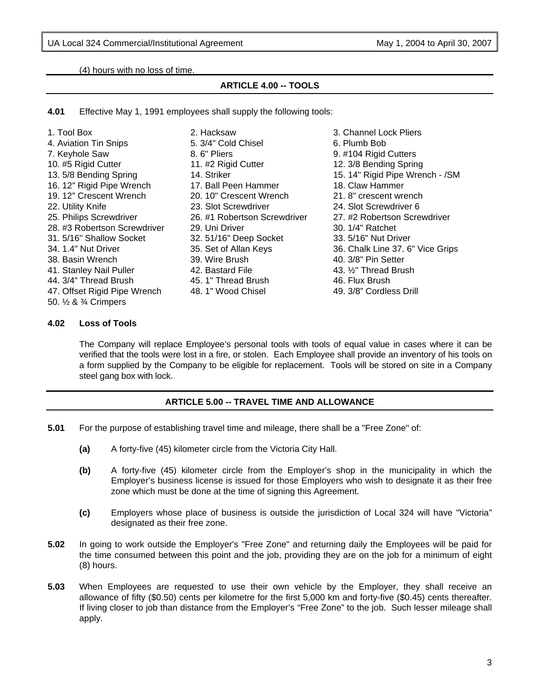(4) hours with no loss of time.

# **ARTICLE 4.00 -- TOOLS**

**4.01** Effective May 1, 1991 employees shall supply the following tools:

| 1. Tool Box                  | 2. Hacksaw                   | 3. Channel Lock Pliers             |
|------------------------------|------------------------------|------------------------------------|
| 4. Aviation Tin Snips        | 5. 3/4" Cold Chisel          | 6. Plumb Bob                       |
| 7. Keyhole Saw               | 8.6" Pliers                  | 9. #104 Rigid Cutters              |
| 10. #5 Rigid Cutter          | 11. #2 Rigid Cutter          | 12. 3/8 Bending Spring             |
| 13.5/8 Bending Spring        | 14. Striker                  | 15. 14" Rigid Pipe Wrench - /SM    |
| 16. 12" Rigid Pipe Wrench    | 17. Ball Peen Hammer         | 18. Claw Hammer                    |
| 19. 12" Crescent Wrench      | 20. 10" Crescent Wrench      | 21.8" crescent wrench              |
| 22. Utility Knife            | 23. Slot Screwdriver         | 24. Slot Screwdriver 6             |
| 25. Philips Screwdriver      | 26. #1 Robertson Screwdriver | 27. #2 Robertson Screwdriver       |
| 28. #3 Robertson Screwdriver | 29. Uni Driver               | 30. 1/4" Ratchet                   |
| 31. 5/16" Shallow Socket     | 32. 51/16" Deep Socket       | 33. 5/16" Nut Driver               |
| 34. 1.4" Nut Driver          | 35. Set of Allan Keys        | 36. Chalk Line 37. 6" Vice Grips   |
| 38. Basin Wrench             | 39. Wire Brush               | 40. 3/8" Pin Setter                |
| 41. Stanley Nail Puller      | 42. Bastard File             | 43. 1/ <sub>2</sub> " Thread Brush |
| 44. 3/4" Thread Brush        | 45.1" Thread Brush           | 46. Flux Brush                     |
| 47. Offset Rigid Pipe Wrench | 48.1" Wood Chisel            | 49. 3/8" Cordless Drill            |
| 50. 1/2 & 3/4 Crimpers       |                              |                                    |

#### **4.02 Loss of Tools**

The Company will replace Employee's personal tools with tools of equal value in cases where it can be verified that the tools were lost in a fire, or stolen. Each Employee shall provide an inventory of his tools on a form supplied by the Company to be eligible for replacement. Tools will be stored on site in a Company steel gang box with lock.

# **ARTICLE 5.00 -- TRAVEL TIME AND ALLOWANCE**

- **5.01** For the purpose of establishing travel time and mileage, there shall be a "Free Zone" of:
	- **(a)** A forty-five (45) kilometer circle from the Victoria City Hall.
	- **(b)** A forty-five (45) kilometer circle from the Employer's shop in the municipality in which the Employer's business license is issued for those Employers who wish to designate it as their free zone which must be done at the time of signing this Agreement.
	- **(c)** Employers whose place of business is outside the jurisdiction of Local 324 will have "Victoria" designated as their free zone.
- **5.02** In going to work outside the Employer's "Free Zone" and returning daily the Employees will be paid for the time consumed between this point and the job, providing they are on the job for a minimum of eight (8) hours.
- **5.03** When Employees are requested to use their own vehicle by the Employer, they shall receive an allowance of fifty (\$0.50) cents per kilometre for the first 5,000 km and forty-five (\$0.45) cents thereafter. If living closer to job than distance from the Employer's "Free Zone" to the job. Such lesser mileage shall apply.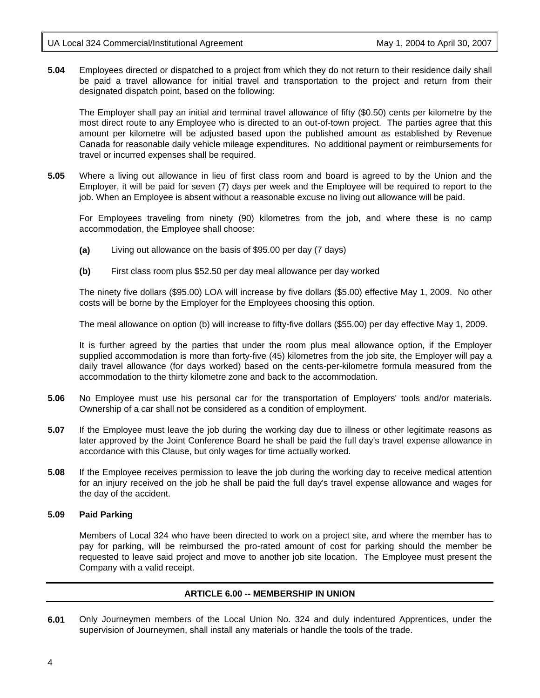**5.04** Employees directed or dispatched to a project from which they do not return to their residence daily shall be paid a travel allowance for initial travel and transportation to the project and return from their designated dispatch point, based on the following:

 The Employer shall pay an initial and terminal travel allowance of fifty (\$0.50) cents per kilometre by the most direct route to any Employee who is directed to an out-of-town project. The parties agree that this amount per kilometre will be adjusted based upon the published amount as established by Revenue Canada for reasonable daily vehicle mileage expenditures. No additional payment or reimbursements for travel or incurred expenses shall be required.

**5.05** Where a living out allowance in lieu of first class room and board is agreed to by the Union and the Employer, it will be paid for seven (7) days per week and the Employee will be required to report to the job. When an Employee is absent without a reasonable excuse no living out allowance will be paid.

 For Employees traveling from ninety (90) kilometres from the job, and where these is no camp accommodation, the Employee shall choose:

- **(a)** Living out allowance on the basis of \$95.00 per day (7 days)
- **(b)** First class room plus \$52.50 per day meal allowance per day worked

 The ninety five dollars (\$95.00) LOA will increase by five dollars (\$5.00) effective May 1, 2009. No other costs will be borne by the Employer for the Employees choosing this option.

The meal allowance on option (b) will increase to fifty-five dollars (\$55.00) per day effective May 1, 2009.

 It is further agreed by the parties that under the room plus meal allowance option, if the Employer supplied accommodation is more than forty-five (45) kilometres from the job site, the Employer will pay a daily travel allowance (for days worked) based on the cents-per-kilometre formula measured from the accommodation to the thirty kilometre zone and back to the accommodation.

- **5.06** No Employee must use his personal car for the transportation of Employers' tools and/or materials. Ownership of a car shall not be considered as a condition of employment.
- **5.07** If the Employee must leave the job during the working day due to illness or other legitimate reasons as later approved by the Joint Conference Board he shall be paid the full day's travel expense allowance in accordance with this Clause, but only wages for time actually worked.
- **5.08** If the Employee receives permission to leave the job during the working day to receive medical attention for an injury received on the job he shall be paid the full day's travel expense allowance and wages for the day of the accident.

# **5.09 Paid Parking**

Members of Local 324 who have been directed to work on a project site, and where the member has to pay for parking, will be reimbursed the pro-rated amount of cost for parking should the member be requested to leave said project and move to another job site location. The Employee must present the Company with a valid receipt.

# **ARTICLE 6.00 -- MEMBERSHIP IN UNION**

**6.01** Only Journeymen members of the Local Union No. 324 and duly indentured Apprentices, under the supervision of Journeymen, shall install any materials or handle the tools of the trade.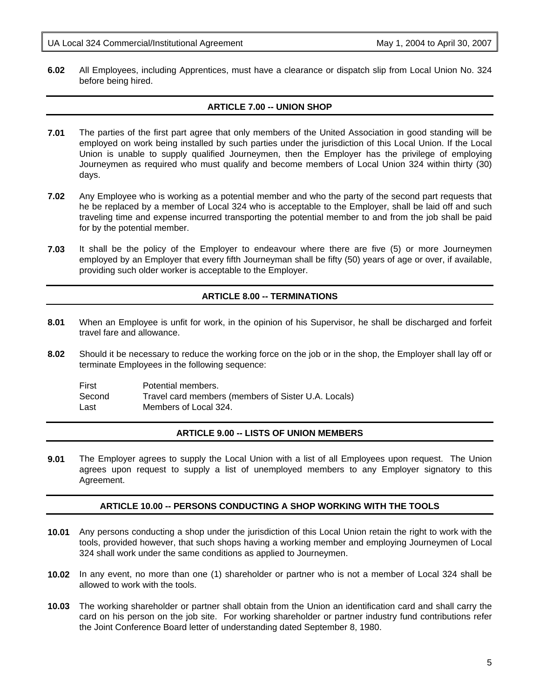UA Local 324 Commercial/Institutional Agreement May 1, 2004 to April 30, 2007

**6.02** All Employees, including Apprentices, must have a clearance or dispatch slip from Local Union No. 324 before being hired.

# **ARTICLE 7.00 -- UNION SHOP**

- **7.01** The parties of the first part agree that only members of the United Association in good standing will be employed on work being installed by such parties under the jurisdiction of this Local Union. If the Local Union is unable to supply qualified Journeymen, then the Employer has the privilege of employing Journeymen as required who must qualify and become members of Local Union 324 within thirty (30) days.
- **7.02** Any Employee who is working as a potential member and who the party of the second part requests that he be replaced by a member of Local 324 who is acceptable to the Employer, shall be laid off and such traveling time and expense incurred transporting the potential member to and from the job shall be paid for by the potential member.
- **7.03** It shall be the policy of the Employer to endeavour where there are five (5) or more Journeymen employed by an Employer that every fifth Journeyman shall be fifty (50) years of age or over, if available, providing such older worker is acceptable to the Employer.

# **ARTICLE 8.00 -- TERMINATIONS**

- **8.01** When an Employee is unfit for work, in the opinion of his Supervisor, he shall be discharged and forfeit travel fare and allowance.
- **8.02** Should it be necessary to reduce the working force on the job or in the shop, the Employer shall lay off or terminate Employees in the following sequence:

| First  | Potential members.                                  |
|--------|-----------------------------------------------------|
| Second | Travel card members (members of Sister U.A. Locals) |
| Last   | Members of Local 324.                               |

# **ARTICLE 9.00 -- LISTS OF UNION MEMBERS**

**9.01** The Employer agrees to supply the Local Union with a list of all Employees upon request. The Union agrees upon request to supply a list of unemployed members to any Employer signatory to this Agreement.

# **ARTICLE 10.00 -- PERSONS CONDUCTING A SHOP WORKING WITH THE TOOLS**

- **10.01** Any persons conducting a shop under the jurisdiction of this Local Union retain the right to work with the tools, provided however, that such shops having a working member and employing Journeymen of Local 324 shall work under the same conditions as applied to Journeymen.
- **10.02** In any event, no more than one (1) shareholder or partner who is not a member of Local 324 shall be allowed to work with the tools.
- **10.03** The working shareholder or partner shall obtain from the Union an identification card and shall carry the card on his person on the job site. For working shareholder or partner industry fund contributions refer the Joint Conference Board letter of understanding dated September 8, 1980.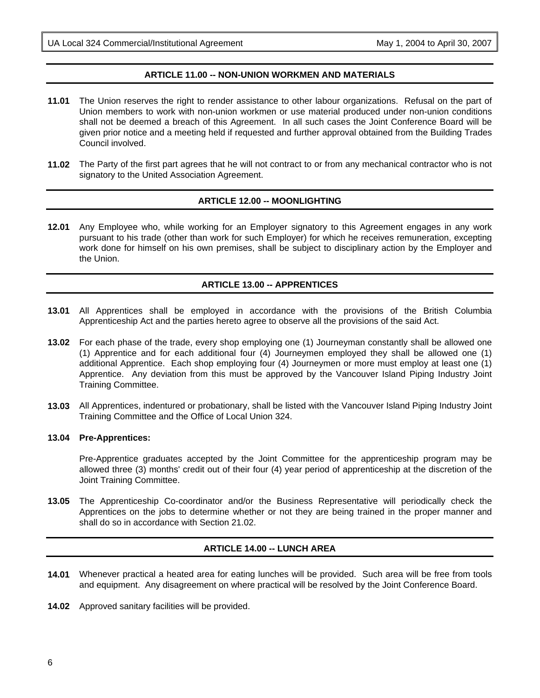#### **ARTICLE 11.00 -- NON-UNION WORKMEN AND MATERIALS**

- **11.01** The Union reserves the right to render assistance to other labour organizations. Refusal on the part of Union members to work with non-union workmen or use material produced under non-union conditions shall not be deemed a breach of this Agreement. In all such cases the Joint Conference Board will be given prior notice and a meeting held if requested and further approval obtained from the Building Trades Council involved.
- **11.02** The Party of the first part agrees that he will not contract to or from any mechanical contractor who is not signatory to the United Association Agreement.

#### **ARTICLE 12.00 -- MOONLIGHTING**

**12.01** Any Employee who, while working for an Employer signatory to this Agreement engages in any work pursuant to his trade (other than work for such Employer) for which he receives remuneration, excepting work done for himself on his own premises, shall be subject to disciplinary action by the Employer and the Union.

#### **ARTICLE 13.00 -- APPRENTICES**

- **13.01** All Apprentices shall be employed in accordance with the provisions of the British Columbia Apprenticeship Act and the parties hereto agree to observe all the provisions of the said Act.
- **13.02** For each phase of the trade, every shop employing one (1) Journeyman constantly shall be allowed one (1) Apprentice and for each additional four (4) Journeymen employed they shall be allowed one (1) additional Apprentice. Each shop employing four (4) Journeymen or more must employ at least one (1) Apprentice. Any deviation from this must be approved by the Vancouver Island Piping Industry Joint Training Committee.
- **13.03** All Apprentices, indentured or probationary, shall be listed with the Vancouver Island Piping Industry Joint Training Committee and the Office of Local Union 324.

#### **13.04 Pre-Apprentices:**

Pre-Apprentice graduates accepted by the Joint Committee for the apprenticeship program may be allowed three (3) months' credit out of their four (4) year period of apprenticeship at the discretion of the Joint Training Committee.

**13.05** The Apprenticeship Co-coordinator and/or the Business Representative will periodically check the Apprentices on the jobs to determine whether or not they are being trained in the proper manner and shall do so in accordance with Section 21.02.

# **ARTICLE 14.00 -- LUNCH AREA**

- **14.01** Whenever practical a heated area for eating lunches will be provided. Such area will be free from tools and equipment. Any disagreement on where practical will be resolved by the Joint Conference Board.
- **14.02** Approved sanitary facilities will be provided.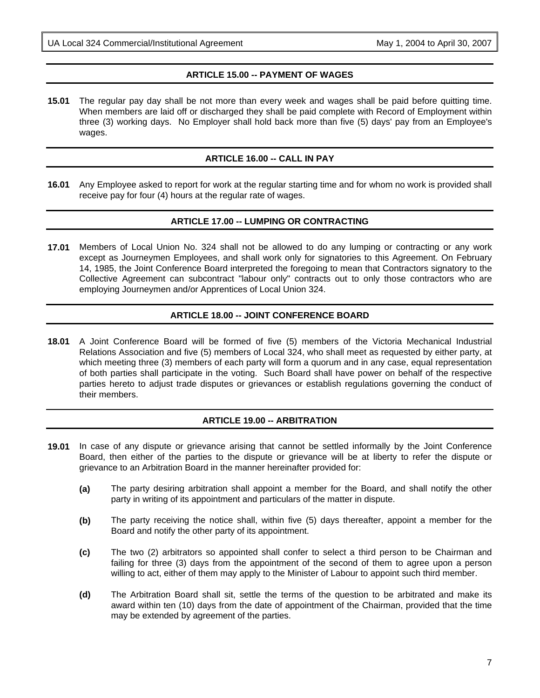# **ARTICLE 15.00 -- PAYMENT OF WAGES**

**15.01** The regular pay day shall be not more than every week and wages shall be paid before quitting time. When members are laid off or discharged they shall be paid complete with Record of Employment within three (3) working days. No Employer shall hold back more than five (5) days' pay from an Employee's wages.

#### **ARTICLE 16.00 -- CALL IN PAY**

**16.01** Any Employee asked to report for work at the regular starting time and for whom no work is provided shall receive pay for four (4) hours at the regular rate of wages.

#### **ARTICLE 17.00 -- LUMPING OR CONTRACTING**

**17.01** Members of Local Union No. 324 shall not be allowed to do any lumping or contracting or any work except as Journeymen Employees, and shall work only for signatories to this Agreement. On February 14, 1985, the Joint Conference Board interpreted the foregoing to mean that Contractors signatory to the Collective Agreement can subcontract "labour only" contracts out to only those contractors who are employing Journeymen and/or Apprentices of Local Union 324.

# **ARTICLE 18.00 -- JOINT CONFERENCE BOARD**

**18.01** A Joint Conference Board will be formed of five (5) members of the Victoria Mechanical Industrial Relations Association and five (5) members of Local 324, who shall meet as requested by either party, at which meeting three (3) members of each party will form a quorum and in any case, equal representation of both parties shall participate in the voting. Such Board shall have power on behalf of the respective parties hereto to adjust trade disputes or grievances or establish regulations governing the conduct of their members.

# **ARTICLE 19.00 -- ARBITRATION**

- **19.01** In case of any dispute or grievance arising that cannot be settled informally by the Joint Conference Board, then either of the parties to the dispute or grievance will be at liberty to refer the dispute or grievance to an Arbitration Board in the manner hereinafter provided for:
	- **(a)** The party desiring arbitration shall appoint a member for the Board, and shall notify the other party in writing of its appointment and particulars of the matter in dispute.
	- **(b)** The party receiving the notice shall, within five (5) days thereafter, appoint a member for the Board and notify the other party of its appointment.
	- **(c)** The two (2) arbitrators so appointed shall confer to select a third person to be Chairman and failing for three (3) days from the appointment of the second of them to agree upon a person willing to act, either of them may apply to the Minister of Labour to appoint such third member.
	- **(d)** The Arbitration Board shall sit, settle the terms of the question to be arbitrated and make its award within ten (10) days from the date of appointment of the Chairman, provided that the time may be extended by agreement of the parties.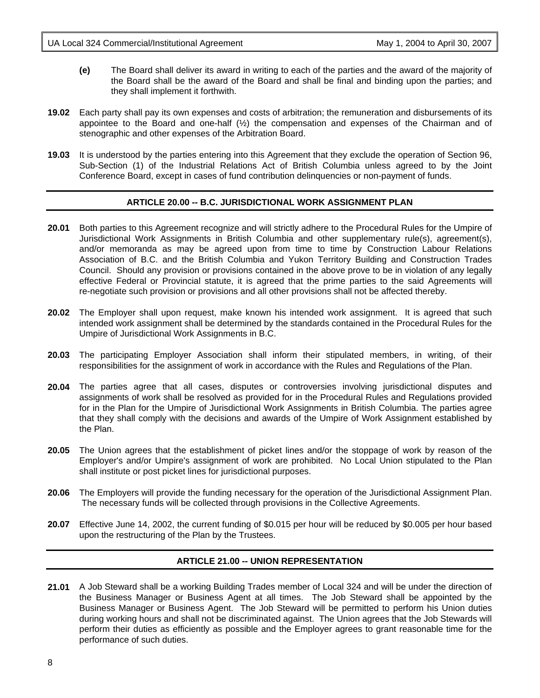- **(e)** The Board shall deliver its award in writing to each of the parties and the award of the majority of the Board shall be the award of the Board and shall be final and binding upon the parties; and they shall implement it forthwith.
- **19.02** Each party shall pay its own expenses and costs of arbitration; the remuneration and disbursements of its appointee to the Board and one-half  $(\frac{1}{2})$  the compensation and expenses of the Chairman and of stenographic and other expenses of the Arbitration Board.
- **19.03** It is understood by the parties entering into this Agreement that they exclude the operation of Section 96, Sub-Section (1) of the Industrial Relations Act of British Columbia unless agreed to by the Joint Conference Board, except in cases of fund contribution delinquencies or non-payment of funds.

# **ARTICLE 20.00 -- B.C. JURISDICTIONAL WORK ASSIGNMENT PLAN**

- **20.01** Both parties to this Agreement recognize and will strictly adhere to the Procedural Rules for the Umpire of Jurisdictional Work Assignments in British Columbia and other supplementary rule(s), agreement(s), and/or memoranda as may be agreed upon from time to time by Construction Labour Relations Association of B.C. and the British Columbia and Yukon Territory Building and Construction Trades Council. Should any provision or provisions contained in the above prove to be in violation of any legally effective Federal or Provincial statute, it is agreed that the prime parties to the said Agreements will re-negotiate such provision or provisions and all other provisions shall not be affected thereby.
- **20.02** The Employer shall upon request, make known his intended work assignment. It is agreed that such intended work assignment shall be determined by the standards contained in the Procedural Rules for the Umpire of Jurisdictional Work Assignments in B.C.
- **20.03** The participating Employer Association shall inform their stipulated members, in writing, of their responsibilities for the assignment of work in accordance with the Rules and Regulations of the Plan.
- **20.04** The parties agree that all cases, disputes or controversies involving jurisdictional disputes and assignments of work shall be resolved as provided for in the Procedural Rules and Regulations provided for in the Plan for the Umpire of Jurisdictional Work Assignments in British Columbia. The parties agree that they shall comply with the decisions and awards of the Umpire of Work Assignment established by the Plan.
- **20.05** The Union agrees that the establishment of picket lines and/or the stoppage of work by reason of the Employer's and/or Umpire's assignment of work are prohibited. No Local Union stipulated to the Plan shall institute or post picket lines for jurisdictional purposes.
- **20.06** The Employers will provide the funding necessary for the operation of the Jurisdictional Assignment Plan. The necessary funds will be collected through provisions in the Collective Agreements.
- **20.07** Effective June 14, 2002, the current funding of \$0.015 per hour will be reduced by \$0.005 per hour based upon the restructuring of the Plan by the Trustees.

# **ARTICLE 21.00 -- UNION REPRESENTATION**

**21.01** A Job Steward shall be a working Building Trades member of Local 324 and will be under the direction of the Business Manager or Business Agent at all times. The Job Steward shall be appointed by the Business Manager or Business Agent. The Job Steward will be permitted to perform his Union duties during working hours and shall not be discriminated against. The Union agrees that the Job Stewards will perform their duties as efficiently as possible and the Employer agrees to grant reasonable time for the performance of such duties.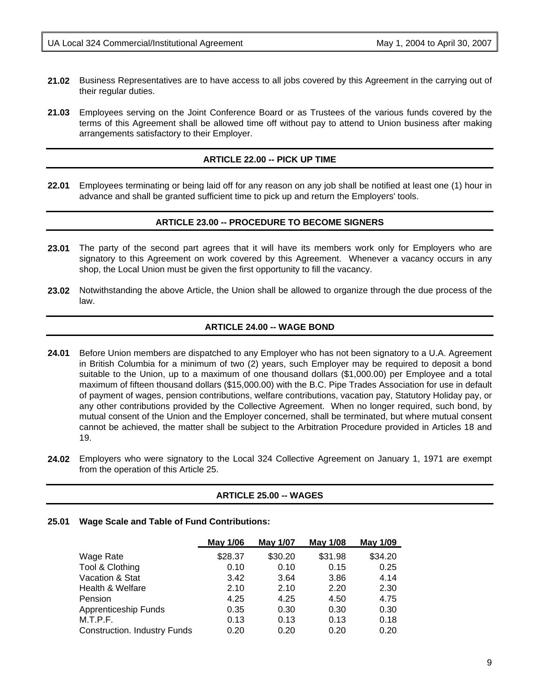- **21.02** Business Representatives are to have access to all jobs covered by this Agreement in the carrying out of their regular duties.
- **21.03** Employees serving on the Joint Conference Board or as Trustees of the various funds covered by the terms of this Agreement shall be allowed time off without pay to attend to Union business after making arrangements satisfactory to their Employer.

#### **ARTICLE 22.00 -- PICK UP TIME**

**22.01** Employees terminating or being laid off for any reason on any job shall be notified at least one (1) hour in advance and shall be granted sufficient time to pick up and return the Employers' tools.

#### **ARTICLE 23.00 -- PROCEDURE TO BECOME SIGNERS**

- **23.01** The party of the second part agrees that it will have its members work only for Employers who are signatory to this Agreement on work covered by this Agreement. Whenever a vacancy occurs in any shop, the Local Union must be given the first opportunity to fill the vacancy.
- **23.02** Notwithstanding the above Article, the Union shall be allowed to organize through the due process of the law.

#### **ARTICLE 24.00 -- WAGE BOND**

- **24.01** Before Union members are dispatched to any Employer who has not been signatory to a U.A. Agreement in British Columbia for a minimum of two (2) years, such Employer may be required to deposit a bond suitable to the Union, up to a maximum of one thousand dollars (\$1,000.00) per Employee and a total maximum of fifteen thousand dollars (\$15,000.00) with the B.C. Pipe Trades Association for use in default of payment of wages, pension contributions, welfare contributions, vacation pay, Statutory Holiday pay, or any other contributions provided by the Collective Agreement. When no longer required, such bond, by mutual consent of the Union and the Employer concerned, shall be terminated, but where mutual consent cannot be achieved, the matter shall be subject to the Arbitration Procedure provided in Articles 18 and 19.
- **24.02** Employers who were signatory to the Local 324 Collective Agreement on January 1, 1971 are exempt from the operation of this Article 25.

#### **ARTICLE 25.00 -- WAGES**

#### **25.01 Wage Scale and Table of Fund Contributions:**

|                                     | May 1/06 | <b>May 1/07</b> | May 1/08 | May 1/09 |
|-------------------------------------|----------|-----------------|----------|----------|
| Wage Rate                           | \$28.37  | \$30.20         | \$31.98  | \$34.20  |
| Tool & Clothing                     | 0.10     | 0.10            | 0.15     | 0.25     |
| Vacation & Stat                     | 3.42     | 3.64            | 3.86     | 4.14     |
| Health & Welfare                    | 2.10     | 2.10            | 2.20     | 2.30     |
| Pension                             | 4.25     | 4.25            | 4.50     | 4.75     |
| <b>Apprenticeship Funds</b>         | 0.35     | 0.30            | 0.30     | 0.30     |
| M.T.P.F.                            | 0.13     | 0.13            | 0.13     | 0.18     |
| <b>Construction. Industry Funds</b> | 0.20     | 0.20            | 0.20     | 0.20     |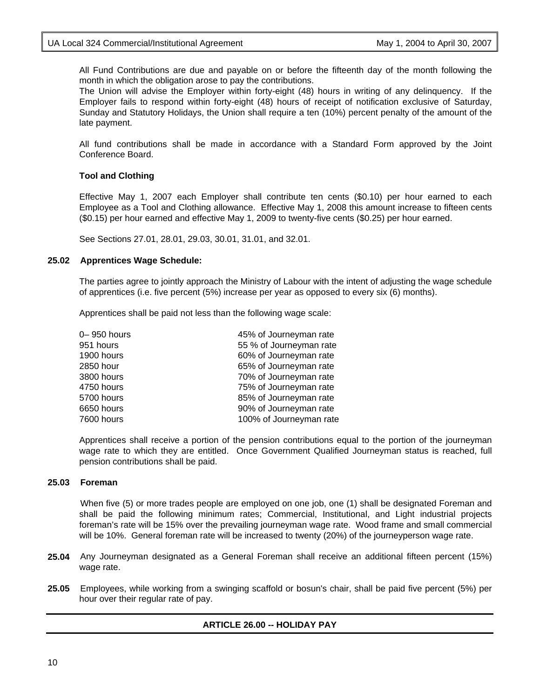All Fund Contributions are due and payable on or before the fifteenth day of the month following the month in which the obligation arose to pay the contributions.

The Union will advise the Employer within forty-eight (48) hours in writing of any delinquency. If the Employer fails to respond within forty-eight (48) hours of receipt of notification exclusive of Saturday, Sunday and Statutory Holidays, the Union shall require a ten (10%) percent penalty of the amount of the late payment.

All fund contributions shall be made in accordance with a Standard Form approved by the Joint Conference Board.

#### **Tool and Clothing**

Effective May 1, 2007 each Employer shall contribute ten cents (\$0.10) per hour earned to each Employee as a Tool and Clothing allowance. Effective May 1, 2008 this amount increase to fifteen cents (\$0.15) per hour earned and effective May 1, 2009 to twenty-five cents (\$0.25) per hour earned.

See Sections 27.01, 28.01, 29.03, 30.01, 31.01, and 32.01.

#### **25.02 Apprentices Wage Schedule:**

The parties agree to jointly approach the Ministry of Labour with the intent of adjusting the wage schedule of apprentices (i.e. five percent (5%) increase per year as opposed to every six (6) months).

Apprentices shall be paid not less than the following wage scale:

| 0-950 hours | 45% of Journeyman rate  |
|-------------|-------------------------|
| 951 hours   | 55 % of Journeyman rate |
| 1900 hours  | 60% of Journeyman rate  |
| 2850 hour   | 65% of Journeyman rate  |
| 3800 hours  | 70% of Journeyman rate  |
| 4750 hours  | 75% of Journeyman rate  |
| 5700 hours  | 85% of Journeyman rate  |
| 6650 hours  | 90% of Journeyman rate  |
| 7600 hours  | 100% of Journeyman rate |
|             |                         |

Apprentices shall receive a portion of the pension contributions equal to the portion of the journeyman wage rate to which they are entitled. Once Government Qualified Journeyman status is reached, full pension contributions shall be paid.

#### **25.03 Foreman**

When five (5) or more trades people are employed on one job, one (1) shall be designated Foreman and shall be paid the following minimum rates; Commercial, Institutional, and Light industrial projects foreman's rate will be 15% over the prevailing journeyman wage rate. Wood frame and small commercial will be 10%. General foreman rate will be increased to twenty (20%) of the journeyperson wage rate.

- **25.04** Any Journeyman designated as a General Foreman shall receive an additional fifteen percent (15%) wage rate.
- **25.05** Employees, while working from a swinging scaffold or bosun's chair, shall be paid five percent (5%) per hour over their regular rate of pay.

# **ARTICLE 26.00 -- HOLIDAY PAY**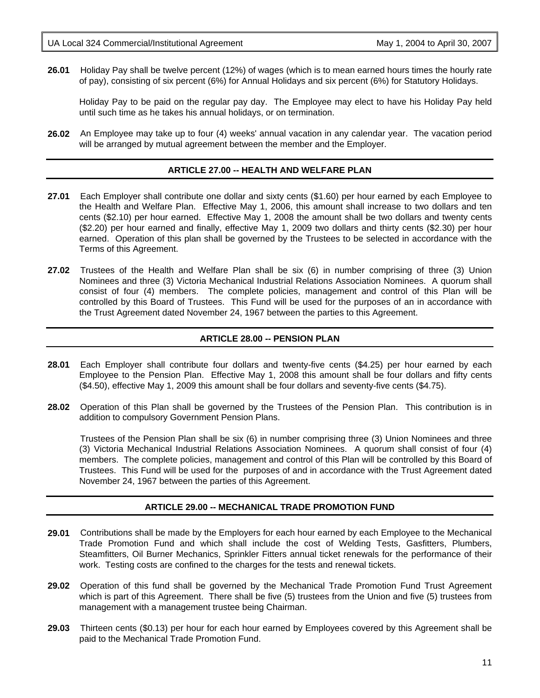**26.01** Holiday Pay shall be twelve percent (12%) of wages (which is to mean earned hours times the hourly rate of pay), consisting of six percent (6%) for Annual Holidays and six percent (6%) for Statutory Holidays.

Holiday Pay to be paid on the regular pay day. The Employee may elect to have his Holiday Pay held until such time as he takes his annual holidays, or on termination.

**26.02** An Employee may take up to four (4) weeks' annual vacation in any calendar year. The vacation period will be arranged by mutual agreement between the member and the Employer.

#### **ARTICLE 27.00 -- HEALTH AND WELFARE PLAN**

- **27.01** Each Employer shall contribute one dollar and sixty cents (\$1.60) per hour earned by each Employee to the Health and Welfare Plan. Effective May 1, 2006, this amount shall increase to two dollars and ten cents (\$2.10) per hour earned. Effective May 1, 2008 the amount shall be two dollars and twenty cents (\$2.20) per hour earned and finally, effective May 1, 2009 two dollars and thirty cents (\$2.30) per hour earned. Operation of this plan shall be governed by the Trustees to be selected in accordance with the Terms of this Agreement.
- **27.02** Trustees of the Health and Welfare Plan shall be six (6) in number comprising of three (3) Union Nominees and three (3) Victoria Mechanical Industrial Relations Association Nominees. A quorum shall consist of four (4) members. The complete policies, management and control of this Plan will be controlled by this Board of Trustees. This Fund will be used for the purposes of an in accordance with the Trust Agreement dated November 24, 1967 between the parties to this Agreement.

#### **ARTICLE 28.00 -- PENSION PLAN**

- **28.01** Each Employer shall contribute four dollars and twenty-five cents (\$4.25) per hour earned by each Employee to the Pension Plan. Effective May 1, 2008 this amount shall be four dollars and fifty cents (\$4.50), effective May 1, 2009 this amount shall be four dollars and seventy-five cents (\$4.75).
- **28.02** Operation of this Plan shall be governed by the Trustees of the Pension Plan. This contribution is in addition to compulsory Government Pension Plans.

 Trustees of the Pension Plan shall be six (6) in number comprising three (3) Union Nominees and three (3) Victoria Mechanical Industrial Relations Association Nominees. A quorum shall consist of four (4) members. The complete policies, management and control of this Plan will be controlled by this Board of Trustees. This Fund will be used for the purposes of and in accordance with the Trust Agreement dated November 24, 1967 between the parties of this Agreement.

# **ARTICLE 29.00 -- MECHANICAL TRADE PROMOTION FUND**

- **29.01** Contributions shall be made by the Employers for each hour earned by each Employee to the Mechanical Trade Promotion Fund and which shall include the cost of Welding Tests, Gasfitters, Plumbers, Steamfitters, Oil Burner Mechanics, Sprinkler Fitters annual ticket renewals for the performance of their work. Testing costs are confined to the charges for the tests and renewal tickets.
- **29.02** Operation of this fund shall be governed by the Mechanical Trade Promotion Fund Trust Agreement which is part of this Agreement. There shall be five (5) trustees from the Union and five (5) trustees from management with a management trustee being Chairman.
- **29.03** Thirteen cents (\$0.13) per hour for each hour earned by Employees covered by this Agreement shall be paid to the Mechanical Trade Promotion Fund.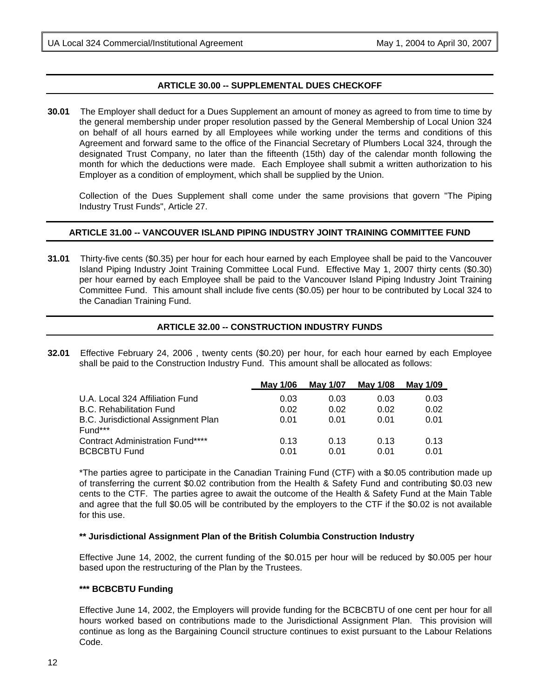#### **ARTICLE 30.00 -- SUPPLEMENTAL DUES CHECKOFF**

**30.01** The Employer shall deduct for a Dues Supplement an amount of money as agreed to from time to time by the general membership under proper resolution passed by the General Membership of Local Union 324 on behalf of all hours earned by all Employees while working under the terms and conditions of this Agreement and forward same to the office of the Financial Secretary of Plumbers Local 324, through the designated Trust Company, no later than the fifteenth (15th) day of the calendar month following the month for which the deductions were made. Each Employee shall submit a written authorization to his Employer as a condition of employment, which shall be supplied by the Union.

Collection of the Dues Supplement shall come under the same provisions that govern "The Piping Industry Trust Funds", Article 27.

#### **ARTICLE 31.00 -- VANCOUVER ISLAND PIPING INDUSTRY JOINT TRAINING COMMITTEE FUND**

**31.01** Thirty-five cents (\$0.35) per hour for each hour earned by each Employee shall be paid to the Vancouver Island Piping Industry Joint Training Committee Local Fund. Effective May 1, 2007 thirty cents (\$0.30) per hour earned by each Employee shall be paid to the Vancouver Island Piping Industry Joint Training Committee Fund. This amount shall include five cents (\$0.05) per hour to be contributed by Local 324 to the Canadian Training Fund.

#### **ARTICLE 32.00 -- CONSTRUCTION INDUSTRY FUNDS**

**32.01** Effective February 24, 2006 , twenty cents (\$0.20) per hour, for each hour earned by each Employee shall be paid to the Construction Industry Fund. This amount shall be allocated as follows:

|                                         | <b>May 1/06</b> | May 1/07 | May 1/08 | May 1/09 |
|-----------------------------------------|-----------------|----------|----------|----------|
| U.A. Local 324 Affiliation Fund         | 0.03            | 0.03     | 0.03     | 0.03     |
| <b>B.C. Rehabilitation Fund</b>         | 0.02            | 0.02     | 0.02     | 0.02     |
| B.C. Jurisdictional Assignment Plan     | 0.01            | 0.01     | 0.01     | 0.01     |
| Fund***                                 |                 |          |          |          |
| <b>Contract Administration Fund****</b> | 0.13            | 0.13     | 0.13     | 0.13     |
| <b>BCBCBTU Fund</b>                     | 0.01            | 0.01     | 0.01     | 0.01     |

\*The parties agree to participate in the Canadian Training Fund (CTF) with a \$0.05 contribution made up of transferring the current \$0.02 contribution from the Health & Safety Fund and contributing \$0.03 new cents to the CTF. The parties agree to await the outcome of the Health & Safety Fund at the Main Table and agree that the full \$0.05 will be contributed by the employers to the CTF if the \$0.02 is not available for this use.

#### **\*\* Jurisdictional Assignment Plan of the British Columbia Construction Industry**

Effective June 14, 2002, the current funding of the \$0.015 per hour will be reduced by \$0.005 per hour based upon the restructuring of the Plan by the Trustees.

#### **\*\*\* BCBCBTU Funding**

Effective June 14, 2002, the Employers will provide funding for the BCBCBTU of one cent per hour for all hours worked based on contributions made to the Jurisdictional Assignment Plan. This provision will continue as long as the Bargaining Council structure continues to exist pursuant to the Labour Relations Code.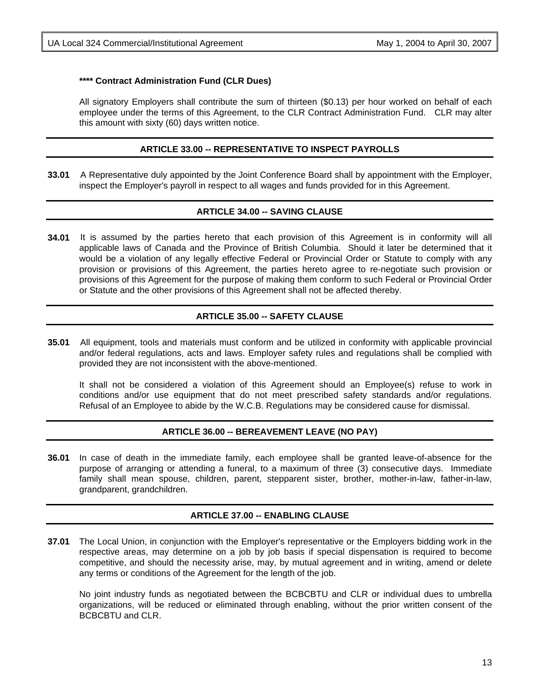#### **\*\*\*\* Contract Administration Fund (CLR Dues)**

All signatory Employers shall contribute the sum of thirteen (\$0.13) per hour worked on behalf of each employee under the terms of this Agreement, to the CLR Contract Administration Fund. CLR may alter this amount with sixty (60) days written notice.

#### **ARTICLE 33.00 -- REPRESENTATIVE TO INSPECT PAYROLLS**

**33.01** A Representative duly appointed by the Joint Conference Board shall by appointment with the Employer, inspect the Employer's payroll in respect to all wages and funds provided for in this Agreement.

#### **ARTICLE 34.00 -- SAVING CLAUSE**

**34.01** It is assumed by the parties hereto that each provision of this Agreement is in conformity will all applicable laws of Canada and the Province of British Columbia. Should it later be determined that it would be a violation of any legally effective Federal or Provincial Order or Statute to comply with any provision or provisions of this Agreement, the parties hereto agree to re-negotiate such provision or provisions of this Agreement for the purpose of making them conform to such Federal or Provincial Order or Statute and the other provisions of this Agreement shall not be affected thereby.

#### **ARTICLE 35.00 -- SAFETY CLAUSE**

**35.01** All equipment, tools and materials must conform and be utilized in conformity with applicable provincial and/or federal regulations, acts and laws. Employer safety rules and regulations shall be complied with provided they are not inconsistent with the above-mentioned.

It shall not be considered a violation of this Agreement should an Employee(s) refuse to work in conditions and/or use equipment that do not meet prescribed safety standards and/or regulations. Refusal of an Employee to abide by the W.C.B. Regulations may be considered cause for dismissal.

#### **ARTICLE 36.00 -- BEREAVEMENT LEAVE (NO PAY)**

**36.01** In case of death in the immediate family, each employee shall be granted leave-of-absence for the purpose of arranging or attending a funeral, to a maximum of three (3) consecutive days. Immediate family shall mean spouse, children, parent, stepparent sister, brother, mother-in-law, father-in-law, grandparent, grandchildren.

#### **ARTICLE 37.00 -- ENABLING CLAUSE**

**37.01** The Local Union, in conjunction with the Employer's representative or the Employers bidding work in the respective areas, may determine on a job by job basis if special dispensation is required to become competitive, and should the necessity arise, may, by mutual agreement and in writing, amend or delete any terms or conditions of the Agreement for the length of the job.

No joint industry funds as negotiated between the BCBCBTU and CLR or individual dues to umbrella organizations, will be reduced or eliminated through enabling, without the prior written consent of the BCBCBTU and CLR.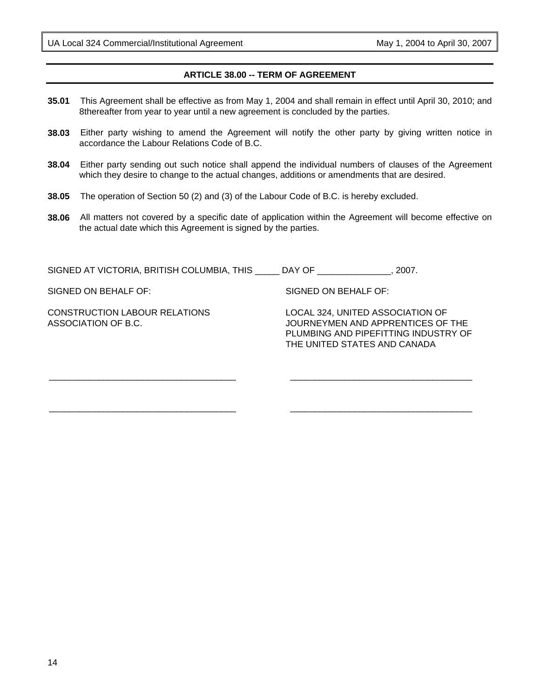# **ARTICLE 38.00 -- TERM OF AGREEMENT**

- **35.01** This Agreement shall be effective as from May 1, 2004 and shall remain in effect until April 30, 2010; and 8thereafter from year to year until a new agreement is concluded by the parties.
- **38.03** Either party wishing to amend the Agreement will notify the other party by giving written notice in accordance the Labour Relations Code of B.C.
- **38.04** Either party sending out such notice shall append the individual numbers of clauses of the Agreement which they desire to change to the actual changes, additions or amendments that are desired.
- **38.05** The operation of Section 50 (2) and (3) of the Labour Code of B.C. is hereby excluded.
- **38.06** All matters not covered by a specific date of application within the Agreement will become effective on the actual date which this Agreement is signed by the parties.

SIGNED AT VICTORIA, BRITISH COLUMBIA, THIS \_\_\_\_\_ DAY OF \_\_\_\_\_\_\_\_\_\_\_\_\_\_\_, 2007.

SIGNED ON BEHALF OF:

CONSTRUCTION LABOUR RELATIONS ASSOCIATION OF B.C.

\_\_\_\_\_\_\_\_\_\_\_\_\_\_\_\_\_\_\_\_\_\_\_\_\_\_\_\_\_\_\_\_\_\_\_\_\_\_

\_\_\_\_\_\_\_\_\_\_\_\_\_\_\_\_\_\_\_\_\_\_\_\_\_\_\_\_\_\_\_\_\_\_\_\_\_\_

SIGNED ON BEHALF OF:

LOCAL 324, UNITED ASSOCIATION OF JOURNEYMEN AND APPRENTICES OF THE PLUMBING AND PIPEFITTING INDUSTRY OF THE UNITED STATES AND CANADA

\_\_\_\_\_\_\_\_\_\_\_\_\_\_\_\_\_\_\_\_\_\_\_\_\_\_\_\_\_\_\_\_\_\_\_\_\_

\_\_\_\_\_\_\_\_\_\_\_\_\_\_\_\_\_\_\_\_\_\_\_\_\_\_\_\_\_\_\_\_\_\_\_\_\_